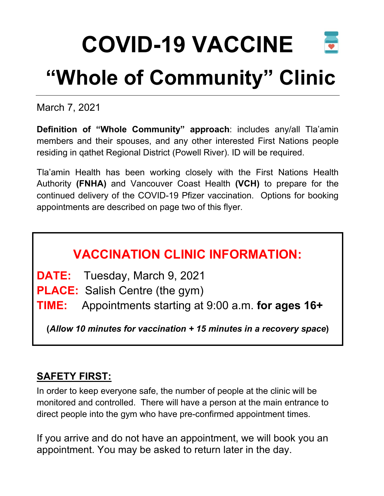## **COVID-19 VACCINE "Whole of Community" Clinic**

March 7, 2021

**Definition of "Whole Community" approach**: includes any/all Tla'amin members and their spouses, and any other interested First Nations people residing in qathet Regional District (Powell River). ID will be required.

Tla'amin Health has been working closely with the First Nations Health Authority **(FNHA)** and Vancouver Coast Health **(VCH)** to prepare for the continued delivery of the COVID-19 Pfizer vaccination. Options for booking appointments are described on page two of this flyer.

## **VACCINATION CLINIC INFORMATION:**

**DATE:** Tuesday, March 9, 2021

**PLACE:** Salish Centre (the gym)

**TIME:** Appointments starting at 9:00 a.m. **for ages 16+**

**(***Allow 10 minutes for vaccination + 15 minutes in a recovery space***)**

## **SAFETY FIRST:**

In order to keep everyone safe, the number of people at the clinic will be monitored and controlled. There will have a person at the main entrance to direct people into the gym who have pre-confirmed appointment times.

If you arrive and do not have an appointment, we will book you an appointment. You may be asked to return later in the day.